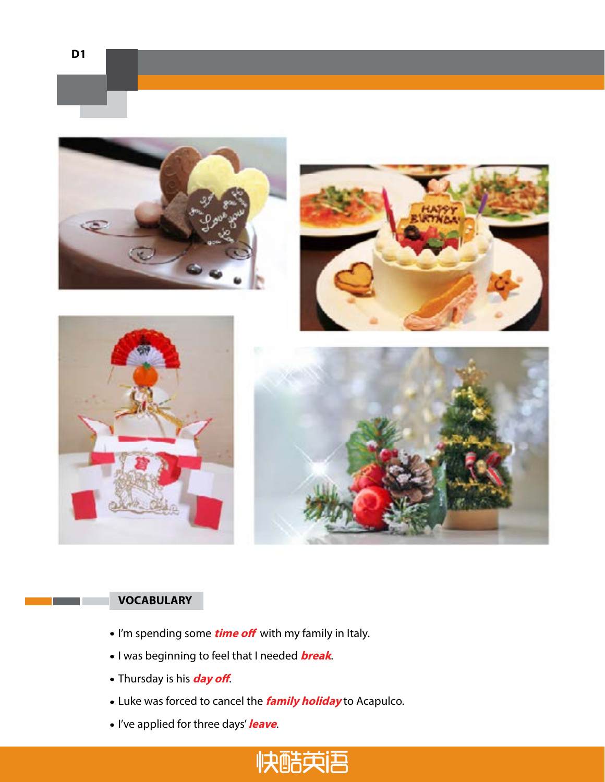

- I'm spending some **time off** with my family in Italy.
- I was beginning to feel that I needed **break**.
- Thursday is his **day off**.
- Luke was forced to cancel the **family holiday** to Acapulco.
- I've applied for three days' **leave**.

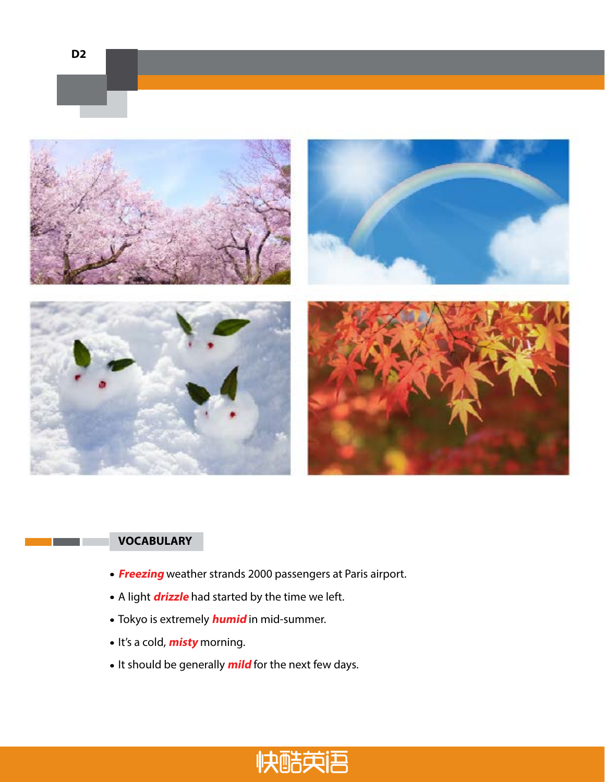



- **Freezing** weather strands 2000 passengers at Paris airport.
- A light **drizzle** had started by the time we left.
- Tokyo is extremely **humid** in mid-summer.
- It's a cold, **misty** morning.
- It should be generally **mild** for the next few days.

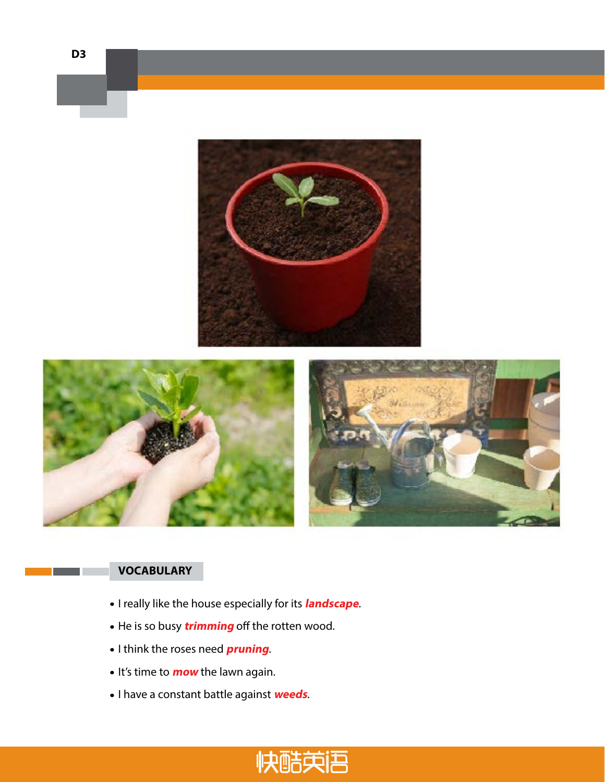

**D3**

- I really like the house especially for its **landscape**.
- He is so busy **trimming** off the rotten wood.
- I think the roses need **pruning**.
- It's time to **mow** the lawn again.
- I have a constant battle against **weeds**.

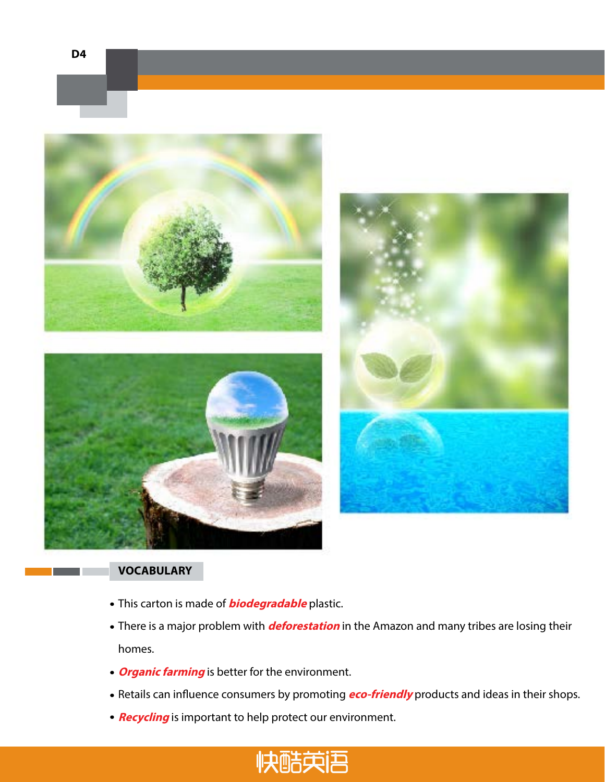



- This carton is made of **biodegradable** plastic.
- There is a major problem with **deforestation** in the Amazon and many tribes are losing their homes.
- **Organic farming** is better for the environment.
- Retails can influence consumers by promoting **eco-friendly** products and ideas in their shops.
- **Recycling** is important to help protect our environment.

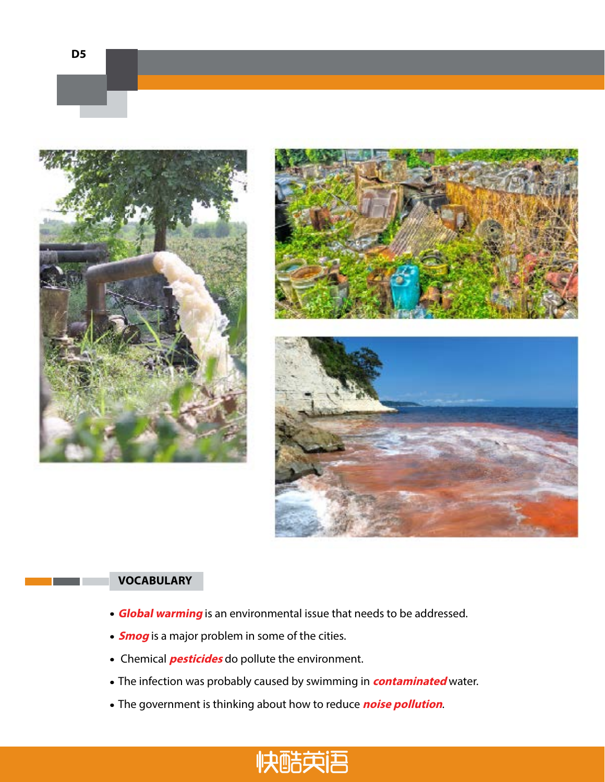





- **Global warming** is an environmental issue that needs to be addressed.
- **Smog** is a major problem in some of the cities.
- Chemical **pesticides** do pollute the environment.
- The infection was probably caused by swimming in **contaminated** water.
- The government is thinking about how to reduce **noise pollution**.

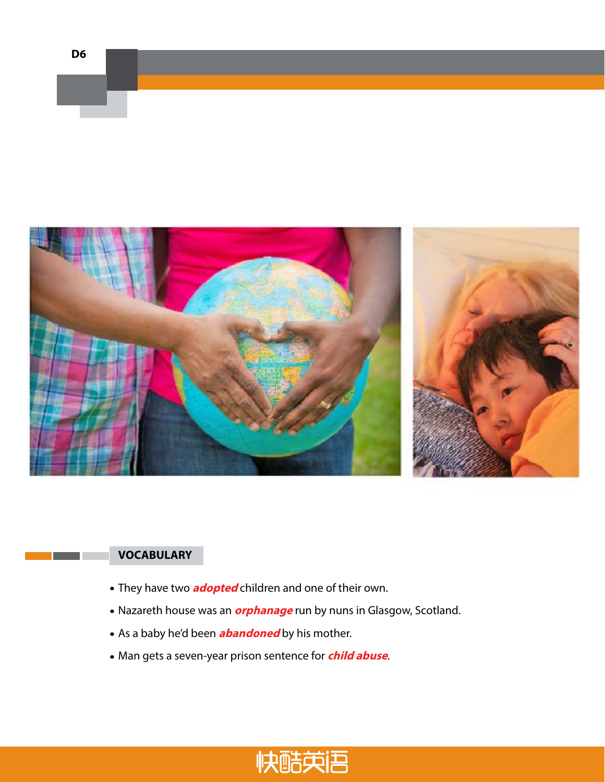



- They have two **adopted** children and one of their own.
- Nazareth house was an **orphanage** run by nuns in Glasgow, Scotland.
- As a baby he'd been **abandoned** by his mother.
- Man gets a seven-year prison sentence for **child abuse**.

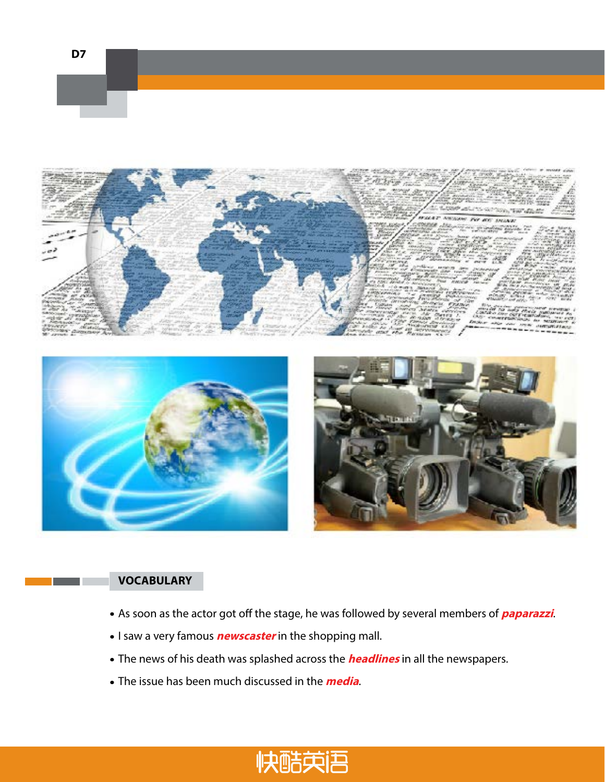





- As soon as the actor got off the stage, he was followed by several members of **paparazzi**.
- I saw a very famous **newscaster** in the shopping mall.
- The news of his death was splashed across the **headlines** in all the newspapers.
- The issue has been much discussed in the **media**.

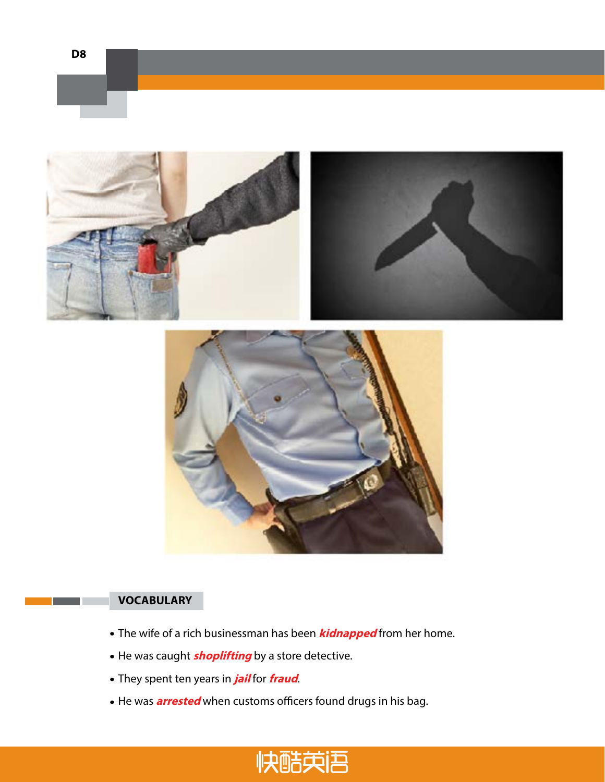





- The wife of a rich businessman has been **kidnapped** from her home.
- He was caught **shoplifting** by a store detective.
- They spent ten years in **jail** for **fraud**.
- He was **arrested** when customs officers found drugs in his bag.

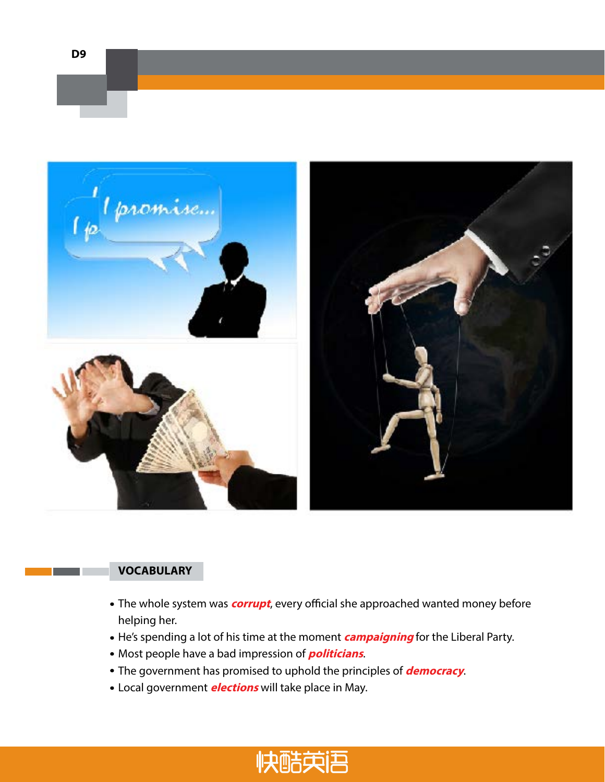



- The whole system was **corrupt**, every official she approached wanted money before helping her.
- He's spending a lot of his time at the moment **campaigning** for the Liberal Party.
- Most people have a bad impression of **politicians**.
- The government has promised to uphold the principles of **democracy**.
- Local government **elections** will take place in May.